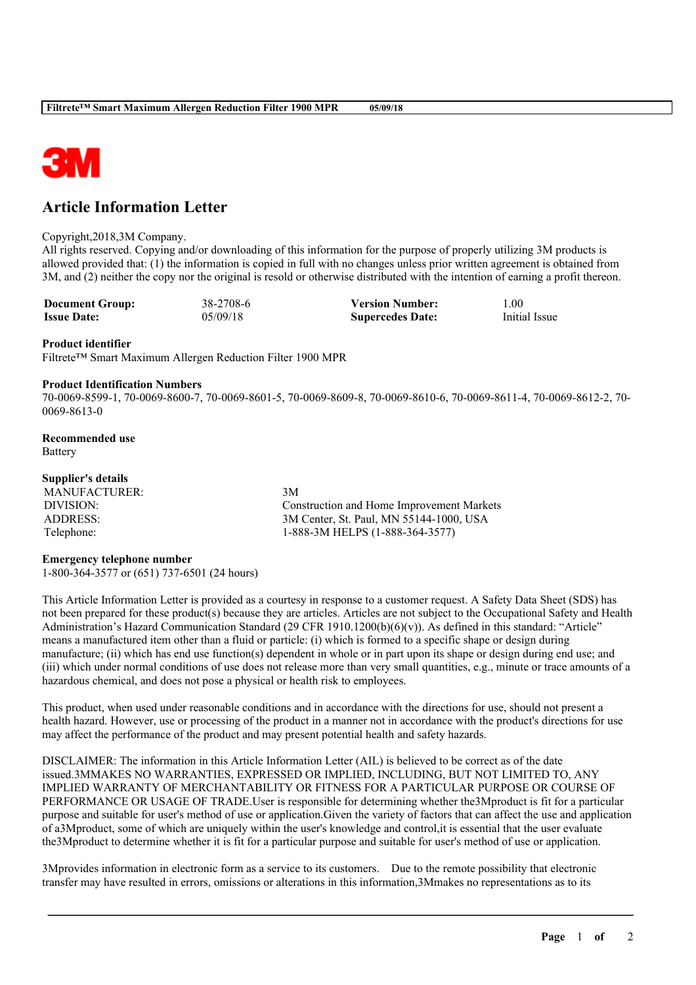

# **Article Information Letter**

#### Copyright,2018,3M Company.

All rights reserved. Copying and/or downloading of this information for the purpose of properly utilizing 3M products is allowed provided that: (1) the information is copied in full with no changes unless prior written agreement is obtained from 3M, and (2) neither the copy nor the original is resold or otherwise distributed with the intention of earning a profit thereon.

| <b>Document Group:</b> | 38-2708-6 | <b>Version Number:</b>  | .00           |
|------------------------|-----------|-------------------------|---------------|
| <b>Issue Date:</b>     | 05/09/18  | <b>Supercedes Date:</b> | Initial Issue |

#### **Product identifier**

Filtrete™ Smart Maximum Allergen Reduction Filter 1900 MPR

#### **Product Identification Numbers**

70-0069-8599-1, 70-0069-8600-7, 70-0069-8601-5, 70-0069-8609-8, 70-0069-8610-6, 70-0069-8611-4, 70-0069-8612-2, 70- 0069-8613-0

**Recommended use** Battery

### **Supplier's details**

MANUFACTURER: 3M

DIVISION: Construction and Home Improvement Markets ADDRESS: 3M Center, St. Paul, MN 55144-1000, USA Telephone: 1-888-3M HELPS (1-888-364-3577)

#### **Emergency telephone number**

1-800-364-3577 or (651) 737-6501 (24 hours)

This Article Information Letter is provided as a courtesy in response to a customer request. A Safety Data Sheet (SDS) has not been prepared for these product(s) because they are articles. Articles are not subject to the Occupational Safety and Health Administration's Hazard Communication Standard (29 CFR 1910.1200(b)(6)(v)). As defined in this standard: "Article" means a manufactured item other than a fluid or particle: (i) which is formed to a specific shape or design during manufacture; (ii) which has end use function(s) dependent in whole or in part upon its shape or design during end use; and (iii) which under normal conditions of use does not release more than very small quantities, e.g., minute or trace amounts of a hazardous chemical, and does not pose a physical or health risk to employees.

This product, when used under reasonable conditions and in accordance with the directions for use, should not present a health hazard. However, use or processing of the product in a manner not in accordance with the product's directions for use may affect the performance of the product and may present potential health and safety hazards.

DISCLAIMER: The information in this Article Information Letter (AIL) is believed to be correct as of the date issued.3MMAKES NO WARRANTIES, EXPRESSED OR IMPLIED, INCLUDING, BUT NOT LIMITED TO, ANY IMPLIED WARRANTY OF MERCHANTABILITY OR FITNESS FOR A PARTICULAR PURPOSE OR COURSE OF PERFORMANCE OR USAGE OF TRADE.User is responsible for determining whether the3Mproduct is fit for a particular purpose and suitable for user's method of use or application.Given the variety of factors that can affect the use and application of a3Mproduct, some of which are uniquely within the user's knowledge and control,it is essential that the user evaluate the3Mproduct to determine whether it is fit for a particular purpose and suitable for user's method of use or application.

\_\_\_\_\_\_\_\_\_\_\_\_\_\_\_\_\_\_\_\_\_\_\_\_\_\_\_\_\_\_\_\_\_\_\_\_\_\_\_\_\_\_\_\_\_\_\_\_\_\_\_\_\_\_\_\_\_\_\_\_\_\_\_\_\_\_\_\_\_\_\_\_\_\_\_\_\_\_\_\_\_\_\_\_\_\_\_\_\_\_

3Mprovides information in electronic form as a service to its customers. Due to the remote possibility that electronic transfer may have resulted in errors, omissions or alterations in this information,3Mmakes no representations as to its